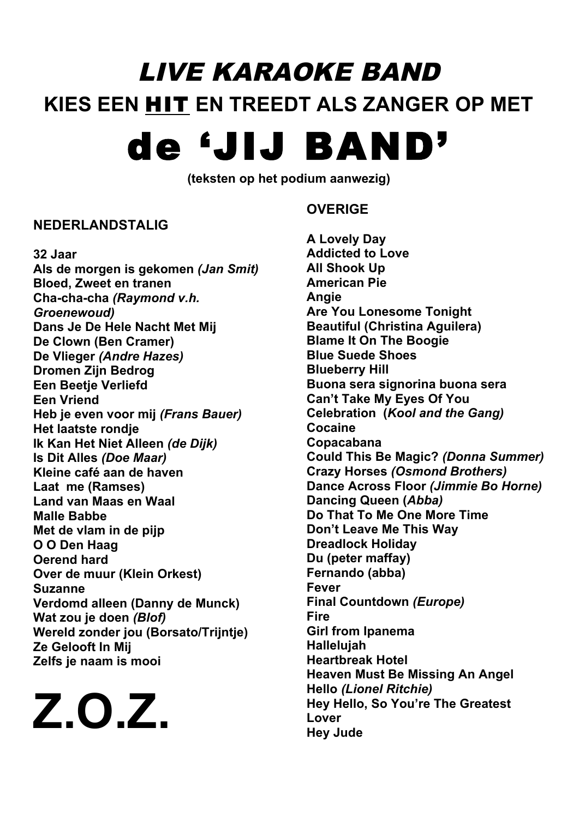## LIVE KARAOKE BAND **KIES EEN** HIT **EN TREEDT ALS ZANGER OP MET**

## de 'JIJ BAND'

**(teksten op het podium aanwezig)**

## **NEDERLANDSTALIG**

**32 Jaar Als de morgen is gekomen** *(Jan Smit)* **Bloed, Zweet en tranen Cha-cha-cha** *(Raymond v.h. Groenewoud)* **Dans Je De Hele Nacht Met Mij De Clown (Ben Cramer) De Vlieger** *(Andre Hazes)* **Dromen Zijn Bedrog Een Beetje Verliefd Een Vriend Heb je even voor mij** *(Frans Bauer)* **Het laatste rondje Ik Kan Het Niet Alleen** *(de Dijk)* **Is Dit Alles** *(Doe Maar)* **Kleine café aan de haven Laat me (Ramses) Land van Maas en Waal Malle Babbe Met de vlam in de pijp O O Den Haag Oerend hard Over de muur (Klein Orkest) Suzanne Verdomd alleen (Danny de Munck) Wat zou je doen** *(Blof)* **Wereld zonder jou (Borsato/Trijntje) Ze Gelooft In Mij Zelfs je naam is mooi**

**Z.O.Z.**

## **OVERIGE**

**A Lovely Day Addicted to Love All Shook Up American Pie Angie Are You Lonesome Tonight Beautiful (Christina Aguilera) Blame It On The Boogie Blue Suede Shoes Blueberry Hill Buona sera signorina buona sera Can't Take My Eyes Of You Celebration (***Kool and the Gang)* **Cocaine Copacabana Could This Be Magic?** *(Donna Summer)* **Crazy Horses** *(Osmond Brothers)* **Dance Across Floor** *(Jimmie Bo Horne)* **Dancing Queen (***Abba)* **Do That To Me One More Time Don't Leave Me This Way Dreadlock Holiday Du (peter maffay) Fernando (abba) Fever Final Countdown** *(Europe)* **Fire Girl from Ipanema Hallelujah Heartbreak Hotel Heaven Must Be Missing An Angel Hello** *(Lionel Ritchie)* **Hey Hello, So You're The Greatest Lover Hey Jude**